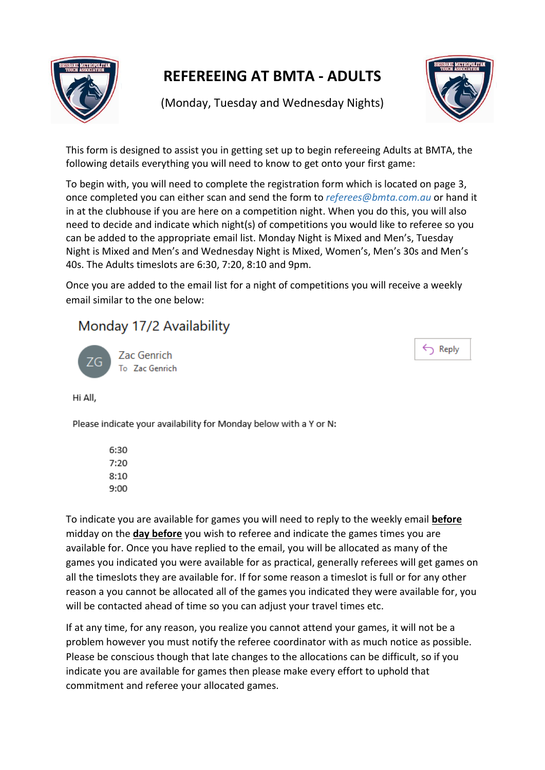

## **REFEREEING AT BMTA - ADULTS**

(Monday, Tuesday and Wednesday Nights)



This form is designed to assist you in getting set up to begin refereeing Adults at BMTA, the following details everything you will need to know to get onto your first game:

To begin with, you will need to complete the registration form which is located on page 3, once completed you can either scan and send the form to *referees@bmta.com.au* or hand it in at the clubhouse if you are here on a competition night. When you do this, you will also need to decide and indicate which night(s) of competitions you would like to referee so you can be added to the appropriate email list. Monday Night is Mixed and Men's, Tuesday Night is Mixed and Men's and Wednesday Night is Mixed, Women's, Men's 30s and Men's 40s. The Adults timeslots are 6:30, 7:20, 8:10 and 9pm.

Once you are added to the email list for a night of competitions you will receive a weekly email similar to the one below:

### Monday 17/2 Availability

Zac Genrich To Zac Genrich  $\leftarrow$  Reply

Hi All,

Please indicate your availability for Monday below with a Y or N:

6:30  $7:20$  $8:10$  $9:00$ 

To indicate you are available for games you will need to reply to the weekly email **before** midday on the **day before** you wish to referee and indicate the games times you are available for. Once you have replied to the email, you will be allocated as many of the games you indicated you were available for as practical, generally referees will get games on all the timeslots they are available for. If for some reason a timeslot is full or for any other reason a you cannot be allocated all of the games you indicated they were available for, you will be contacted ahead of time so you can adjust your travel times etc.

If at any time, for any reason, you realize you cannot attend your games, it will not be a problem however you must notify the referee coordinator with as much notice as possible. Please be conscious though that late changes to the allocations can be difficult, so if you indicate you are available for games then please make every effort to uphold that commitment and referee your allocated games.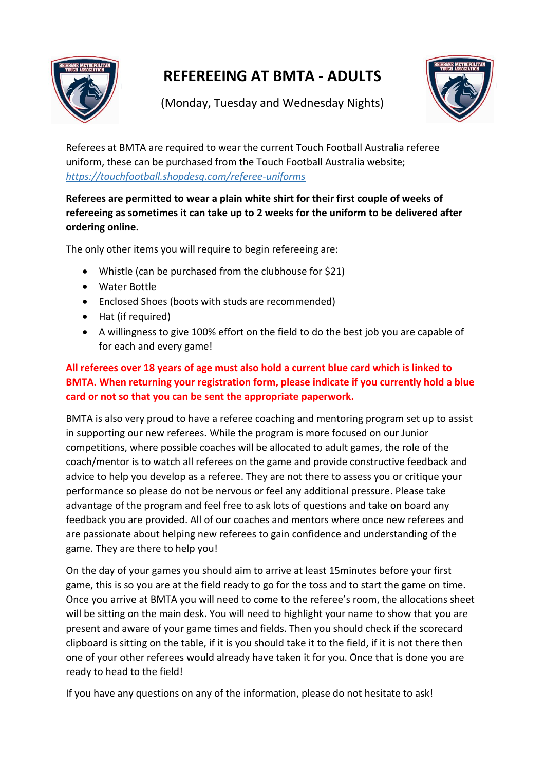

# **REFEREEING AT BMTA - ADULTS**



(Monday, Tuesday and Wednesday Nights)

Referees at BMTA are required to wear the current Touch Football Australia referee uniform, these can be purchased from the Touch Football Australia website; *<https://touchfootball.shopdesq.com/referee-uniforms>*

#### **Referees are permitted to wear a plain white shirt for their first couple of weeks of refereeing as sometimes it can take up to 2 weeks for the uniform to be delivered after ordering online.**

The only other items you will require to begin refereeing are:

- Whistle (can be purchased from the clubhouse for \$21)
- Water Bottle
- Enclosed Shoes (boots with studs are recommended)
- Hat (if required)
- A willingness to give 100% effort on the field to do the best job you are capable of for each and every game!

#### **All referees over 18 years of age must also hold a current blue card which is linked to BMTA. When returning your registration form, please indicate if you currently hold a blue card or not so that you can be sent the appropriate paperwork.**

BMTA is also very proud to have a referee coaching and mentoring program set up to assist in supporting our new referees. While the program is more focused on our Junior competitions, where possible coaches will be allocated to adult games, the role of the coach/mentor is to watch all referees on the game and provide constructive feedback and advice to help you develop as a referee. They are not there to assess you or critique your performance so please do not be nervous or feel any additional pressure. Please take advantage of the program and feel free to ask lots of questions and take on board any feedback you are provided. All of our coaches and mentors where once new referees and are passionate about helping new referees to gain confidence and understanding of the game. They are there to help you!

On the day of your games you should aim to arrive at least 15minutes before your first game, this is so you are at the field ready to go for the toss and to start the game on time. Once you arrive at BMTA you will need to come to the referee's room, the allocations sheet will be sitting on the main desk. You will need to highlight your name to show that you are present and aware of your game times and fields. Then you should check if the scorecard clipboard is sitting on the table, if it is you should take it to the field, if it is not there then one of your other referees would already have taken it for you. Once that is done you are ready to head to the field!

If you have any questions on any of the information, please do not hesitate to ask!